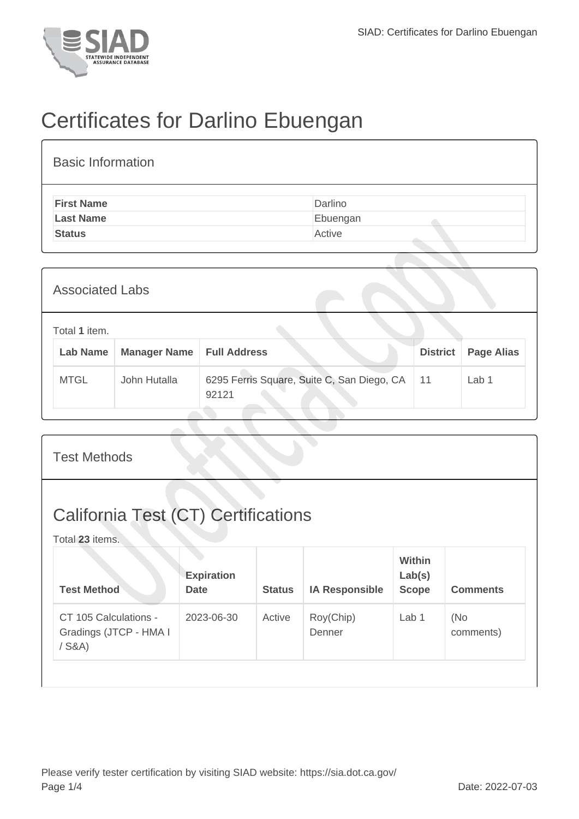

## Certificates for Darlino Ebuengan

| <b>Basic Information</b> |          |
|--------------------------|----------|
| <b>First Name</b>        | Darlino  |
| <b>Last Name</b>         | Ebuengan |
| <b>Status</b>            | Active   |

| <b>Associated Labs</b>    |                     |                                                     |                 |                   |  |  |
|---------------------------|---------------------|-----------------------------------------------------|-----------------|-------------------|--|--|
| Total 1 item.<br>Lab Name | <b>Manager Name</b> | <b>Full Address</b>                                 | <b>District</b> | <b>Page Alias</b> |  |  |
| <b>MTGL</b>               | John Hutalla        | 6295 Ferris Square, Suite C, San Diego, CA<br>92121 | 11              | Lab 1             |  |  |

| <b>Test Methods</b>                                           |                                  |               |                       |                                         |                  |  |  |
|---------------------------------------------------------------|----------------------------------|---------------|-----------------------|-----------------------------------------|------------------|--|--|
| <b>California Test (CT) Certifications</b><br>Total 23 items. |                                  |               |                       |                                         |                  |  |  |
| <b>Test Method</b>                                            | <b>Expiration</b><br><b>Date</b> | <b>Status</b> | <b>IA Responsible</b> | <b>Within</b><br>Lab(s)<br><b>Scope</b> | <b>Comments</b>  |  |  |
| CT 105 Calculations -<br>Gradings (JTCP - HMA I<br>$/$ S&A)   | 2023-06-30                       | Active        | Roy(Chip)<br>Denner   | Lab <sub>1</sub>                        | (No<br>comments) |  |  |
|                                                               |                                  |               |                       |                                         |                  |  |  |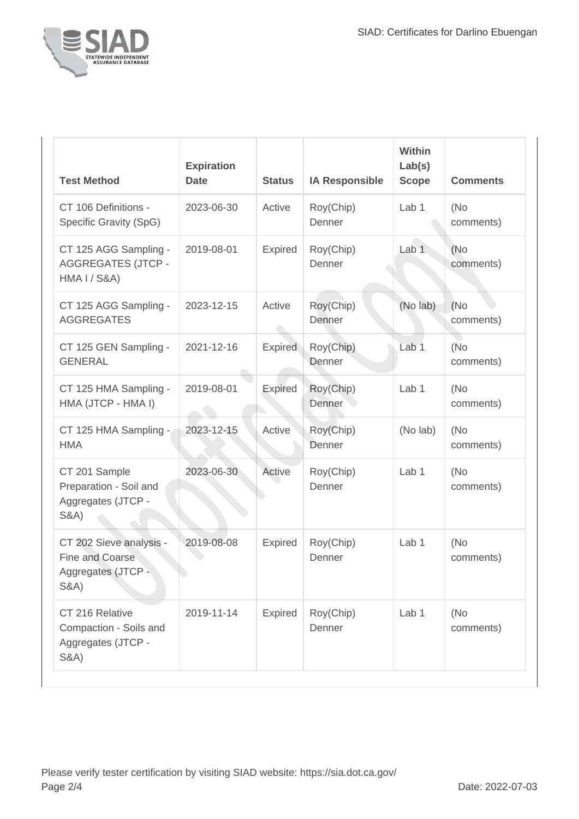

| <b>Test Method</b>                                                                          | <b>Expiration</b><br><b>Date</b> | <b>Status</b>  | <b>IA Responsible</b> | <b>Within</b><br>Lab(s)<br><b>Scope</b> | <b>Comments</b>   |
|---------------------------------------------------------------------------------------------|----------------------------------|----------------|-----------------------|-----------------------------------------|-------------------|
| CT 106 Definitions -<br>Specific Gravity (SpG)                                              | 2023-06-30                       | Active         | Roy(Chip)<br>Denner   | Lab <sub>1</sub>                        | (No<br>comments)  |
| CT 125 AGG Sampling -<br><b>AGGREGATES (JTCP -</b><br><b>HMA I / S&amp;A)</b>               | 2019-08-01                       | Expired        | Roy(Chip)<br>Denner   | Lab <sub>1</sub>                        | (No)<br>comments) |
| CT 125 AGG Sampling -<br><b>AGGREGATES</b>                                                  | 2023-12-15                       | Active         | Roy(Chip)<br>Denner   | (No lab)                                | (No)<br>comments) |
| CT 125 GEN Sampling -<br><b>GENERAL</b>                                                     | 2021-12-16                       | <b>Expired</b> | Roy(Chip)<br>Denner   | Lab <sub>1</sub>                        | (No<br>comments)  |
| CT 125 HMA Sampling -<br>HMA (JTCP - HMA I)                                                 | 2019-08-01                       | Expired        | Roy(Chip)<br>Denner   | Lab <sub>1</sub>                        | (No<br>comments)  |
| CT 125 HMA Sampling -<br><b>HMA</b>                                                         | 2023-12-15                       | Active         | Roy(Chip)<br>Denner   | (No lab)                                | (No)<br>comments) |
| CT 201 Sample<br>Preparation - Soil and<br>Aggregates (JTCP -<br><b>S&amp;A)</b>            | 2023-06-30                       | Active         | Roy(Chip)<br>Denner   | Lab 1                                   | (No<br>comments)  |
| CT 202 Sieve analysis -<br><b>Fine and Coarse</b><br>Aggregates (JTCP -<br><b>S&amp;A</b> ) | 2019-08-08                       | <b>Expired</b> | Roy(Chip)<br>Denner   | Lab 1                                   | (No<br>comments)  |
| CT 216 Relative<br>Compaction - Soils and<br>Aggregates (JTCP -<br><b>S&amp;A)</b>          | 2019-11-14                       | <b>Expired</b> | Roy(Chip)<br>Denner   | Lab 1                                   | (No<br>comments)  |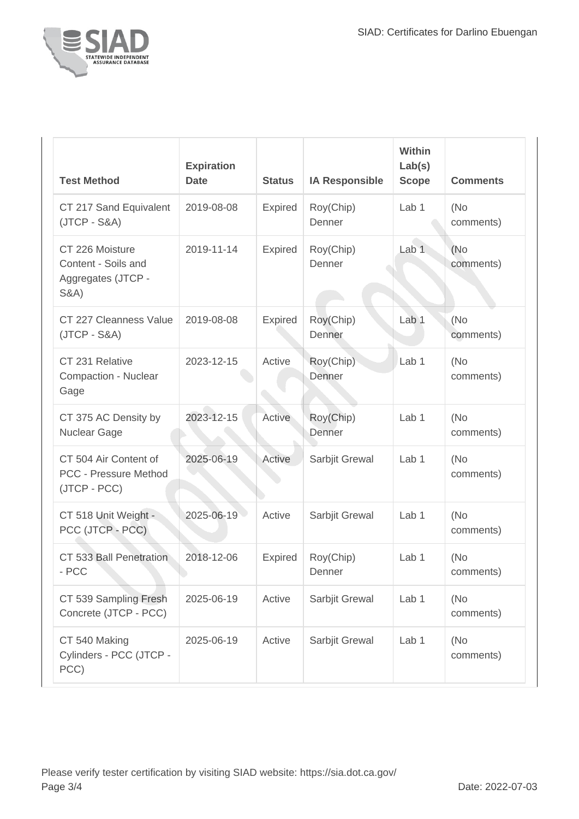

| <b>Test Method</b>                                                              | <b>Expiration</b><br><b>Date</b> | <b>Status</b>  | <b>IA Responsible</b> | Within<br>Lab(s)<br><b>Scope</b> | <b>Comments</b>   |
|---------------------------------------------------------------------------------|----------------------------------|----------------|-----------------------|----------------------------------|-------------------|
| CT 217 Sand Equivalent<br>$(JTCP - S&A)$                                        | 2019-08-08                       | Expired        | Roy(Chip)<br>Denner   | Lab <sub>1</sub>                 | (No)<br>comments) |
| CT 226 Moisture<br>Content - Soils and<br>Aggregates (JTCP -<br><b>S&amp;A)</b> | 2019-11-14                       | <b>Expired</b> | Roy(Chip)<br>Denner   | Lab <sub>1</sub>                 | (No)<br>comments) |
| CT 227 Cleanness Value<br>$(JTCP - S&A)$                                        | 2019-08-08                       | <b>Expired</b> | Roy(Chip)<br>Denner   | Lab <sub>1</sub>                 | (No<br>comments)  |
| CT 231 Relative<br>Compaction - Nuclear<br>Gage                                 | 2023-12-15                       | Active         | Roy(Chip)<br>Denner   | Lab <sub>1</sub>                 | (No)<br>comments) |
| CT 375 AC Density by<br>Nuclear Gage                                            | 2023-12-15                       | Active         | Roy(Chip)<br>Denner   | Lab <sub>1</sub>                 | (No)<br>comments) |
| CT 504 Air Content of<br>PCC - Pressure Method<br>(JTCP - PCC)                  | 2025-06-19                       | Active         | Sarbjit Grewal        | Lab <sub>1</sub>                 | (No)<br>comments) |
| CT 518 Unit Weight -<br>PCC (JTCP - PCC)                                        | 2025-06-19                       | Active         | Sarbjit Grewal        | Lab <sub>1</sub>                 | (No<br>comments)  |
| CT 533 Ball Penetration<br>- PCC                                                | 2018-12-06                       | <b>Expired</b> | Roy(Chip)<br>Denner   | Lab <sub>1</sub>                 | (No)<br>comments) |
| CT 539 Sampling Fresh<br>Concrete (JTCP - PCC)                                  | 2025-06-19                       | Active         | Sarbjit Grewal        | Lab <sub>1</sub>                 | (No<br>comments)  |
| CT 540 Making<br>Cylinders - PCC (JTCP -<br>PCC)                                | 2025-06-19                       | Active         | Sarbjit Grewal        | Lab 1                            | (No)<br>comments) |